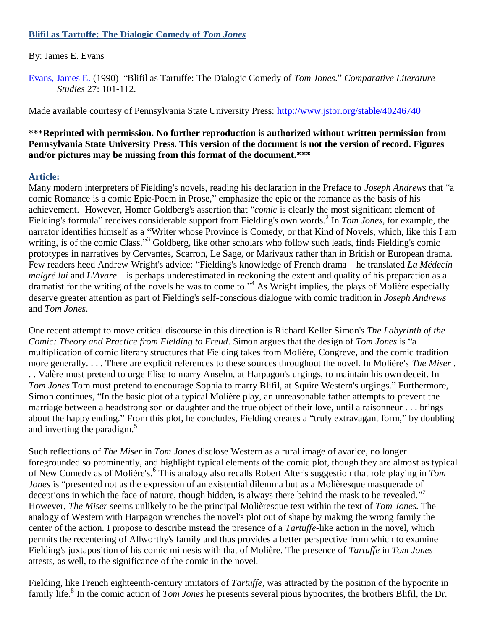# **Blifil as Tartuffe: The Dialogic Comedy of Tom Jones**

## By: James E. Evans

[Evans, James E.](http://libres.uncg.edu/ir/uncg/clist.aspx?id=386) (1990) "Blifil as Tartuffe: The Dialogic Comedy of *Tom Jones*." *Comparative Literature Studies* 27: 101-112.

Made available courtesy of Pennsylvania State University Press:<http://www.jstor.org/stable/40246740>

## **\*\*\*Reprinted with permission. No further reproduction is authorized without written permission from Pennsylvania State University Press. This version of the document is not the version of record. Figures and/or pictures may be missing from this format of the document.\*\*\***

#### **Article:**

Many modern interpreters of Fielding's novels, reading his declaration in the Preface to *Joseph Andrews* that "a comic Romance is a comic Epic-Poem in Prose," emphasize the epic or the romance as the basis of his achievement.<sup>1</sup> However, Homer Goldberg's assertion that "*comic* is clearly the most significant element of Fielding's formula" receives considerable support from Fielding's own words.<sup>2</sup> In *Tom Jones*, for example, the narrator identifies himself as a "Writer whose Province is Comedy, or that Kind of Novels, which, like this I am writing, is of the comic Class."<sup>3</sup> Goldberg, like other scholars who follow such leads, finds Fielding's comic prototypes in narratives by Cervantes, Scarron, Le Sage, or Marivaux rather than in British or European drama. Few readers heed Andrew Wright's advice: "Fielding's knowledge of French drama—he translated *La Médecin malgré lui* and *L'Avare*—is perhaps underestimated in reckoning the extent and quality of his preparation as a dramatist for the writing of the novels he was to come to." <sup>4</sup> As Wright implies, the plays of Molière especially deserve greater attention as part of Fielding's self-conscious dialogue with comic tradition in *Joseph Andrews* and *Tom Jones*.

One recent attempt to move critical discourse in this direction is Richard Keller Simon's *The Labyrinth of the Comic: Theory and Practice from Fielding to Freud*. Simon argues that the design of *Tom Jones* is "a multiplication of comic literary structures that Fielding takes from Molière, Congreve, and the comic tradition more generally. . . . There are explicit references to these sources throughout the novel. In Molière's *The Miser* . . . Valère must pretend to urge Elise to marry Anselm, at Harpagon's urgings, to maintain his own deceit. In *Tom Jones* Tom must pretend to encourage Sophia to marry Blifil, at Squire Western's urgings." Furthermore, Simon continues, "In the basic plot of a typical Molière play, an unreasonable father attempts to prevent the marriage between a headstrong son or daughter and the true object of their love, until a raisonneur . . . brings about the happy ending." From this plot, he concludes, Fielding creates a "truly extravagant form," by doubling and inverting the paradigm.<sup>5</sup>

Such reflections of *The Miser* in *Tom Jones* disclose Western as a rural image of avarice, no longer foregrounded so prominently, and highlight typical elements of the comic plot, though they are almost as typical of New Comedy as of Molière's.<sup>6</sup> This analogy also recalls Robert Alter's suggestion that role playing in *Tom Jones* is "presented not as the expression of an existential dilemma but as a Molièresque masquerade of deceptions in which the face of nature, though hidden, is always there behind the mask to be revealed."<sup>7</sup> However, *The Miser* seems unlikely to be the principal Molièresque text within the text of *Tom Jones.* The analogy of Western with Harpagon wrenches the novel's plot out of shape by making the wrong family the center of the action. I propose to describe instead the presence of a *Tartuffe*-like action in the novel, which permits the recentering of Allworthy's family and thus provides a better perspective from which to examine Fielding's juxtaposition of his comic mimesis with that of Molière. The presence of *Tartuffe* in *Tom Jones*  attests, as well, to the significance of the comic in the novel.

Fielding, like French eighteenth-century imitators of *Tartuffe*, was attracted by the position of the hypocrite in family life.<sup>8</sup> In the comic action of *Tom Jones* he presents several pious hypocrites, the brothers Blifil, the Dr.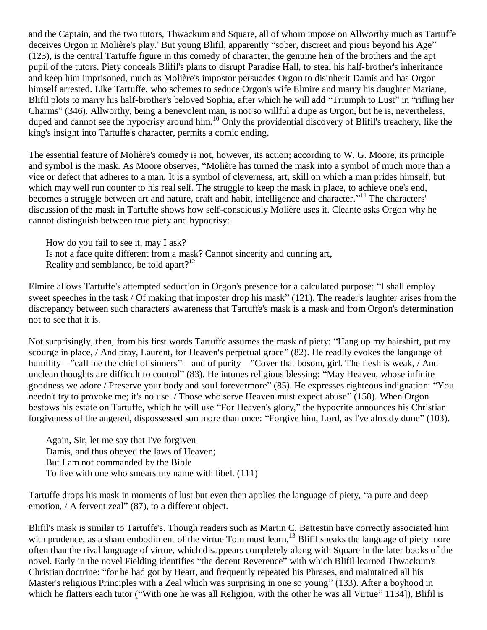and the Captain, and the two tutors, Thwackum and Square, all of whom impose on Allworthy much as Tartuffe deceives Orgon in Molière's play.' But young Blifil, apparently "sober, discreet and pious beyond his Age" (123), is the central Tartuffe figure in this comedy of character, the genuine heir of the brothers and the apt pupil of the tutors. Piety conceals Blifil's plans to disrupt Paradise Hall, to steal his half-brother's inheritance and keep him imprisoned, much as Molière's impostor persuades Orgon to disinherit Damis and has Orgon himself arrested. Like Tartuffe, who schemes to seduce Orgon's wife Elmire and marry his daughter Mariane, Blifil plots to marry his half-brother's beloved Sophia, after which he will add "Triumph to Lust" in "rifling her Charms" (346). Allworthy, being a benevolent man, is not so willful a dupe as Orgon, but he is, nevertheless, duped and cannot see the hypocrisy around him.<sup>10</sup> Only the providential discovery of Blifil's treachery, like the king's insight into Tartuffe's character, permits a comic ending.

The essential feature of Molière's comedy is not, however, its action; according to W. G. Moore, its principle and symbol is the mask. As Moore observes, "Molière has turned the mask into a symbol of much more than a vice or defect that adheres to a man. It is a symbol of cleverness, art, skill on which a man prides himself, but which may well run counter to his real self. The struggle to keep the mask in place, to achieve one's end, becomes a struggle between art and nature, craft and habit, intelligence and character."<sup>11</sup> The characters' discussion of the mask in Tartuffe shows how self-consciously Molière uses it. Cleante asks Orgon why he cannot distinguish between true piety and hypocrisy:

How do you fail to see it, may I ask?

- Is not a face quite different from a mask? Cannot sincerity and cunning art,
- Reality and semblance, be told apart?<sup>12</sup>

Elmire allows Tartuffe's attempted seduction in Orgon's presence for a calculated purpose: "I shall employ sweet speeches in the task / Of making that imposter drop his mask" (121). The reader's laughter arises from the discrepancy between such characters' awareness that Tartuffe's mask is a mask and from Orgon's determination not to see that it is.

Not surprisingly, then, from his first words Tartuffe assumes the mask of piety: "Hang up my hairshirt, put my scourge in place, / And pray, Laurent, for Heaven's perpetual grace" (82). He readily evokes the language of humility—"call me the chief of sinners"—and of purity—"Cover that bosom, girl. The flesh is weak, / And unclean thoughts are difficult to control" (83). He intones religious blessing: "May Heaven, whose infinite goodness we adore / Preserve your body and soul forevermore" (85). He expresses righteous indignation: "You needn't try to provoke me; it's no use. / Those who serve Heaven must expect abuse" (158). When Orgon bestows his estate on Tartuffe, which he will use "For Heaven's glory," the hypocrite announces his Christian forgiveness of the angered, dispossessed son more than once: "Forgive him, Lord, as I've already done" (103).

Again, Sir, let me say that I've forgiven Damis, and thus obeyed the laws of Heaven; But I am not commanded by the Bible To live with one who smears my name with libel. (111)

Tartuffe drops his mask in moments of lust but even then applies the language of piety, "a pure and deep emotion, / A fervent zeal" (87), to a different object.

Blifil's mask is similar to Tartuffe's. Though readers such as Martin C. Battestin have correctly associated him with prudence, as a sham embodiment of the virtue Tom must learn,<sup>13</sup> Blifil speaks the language of piety more often than the rival language of virtue, which disappears completely along with Square in the later books of the novel. Early in the novel Fielding identifies "the decent Reverence" with which Blifil learned Thwackum's Christian doctrine: "for he had got by Heart, and frequently repeated his Phrases, and maintained all his Master's religious Principles with a Zeal which was surprising in one so young" (133). After a boyhood in which he flatters each tutor ("With one he was all Religion, with the other he was all Virtue" 1134]), Blifil is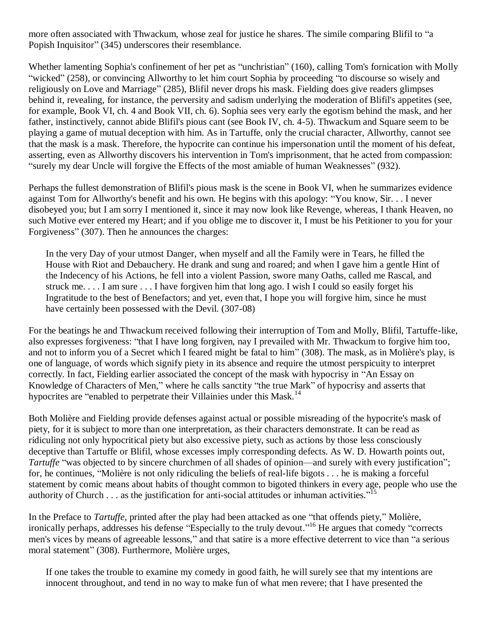more often associated with Thwackum, whose zeal for justice he shares. The simile comparing Blifil to "a Popish Inquisitor" (345) underscores their resemblance.

Whether lamenting Sophia's confinement of her pet as "unchristian" (160), calling Tom's fornication with Molly "wicked" (258), or convincing Allworthy to let him court Sophia by proceeding "to discourse so wisely and religiously on Love and Marriage" (285), Blifil never drops his mask. Fielding does give readers glimpses behind it, revealing, for instance, the perversity and sadism underlying the moderation of Blifil's appetites (see, for example, Book VI, ch. 4 and Book VII, ch. 6). Sophia sees very early the egotism behind the mask, and her father, instinctively, cannot abide Blifil's pious cant (see Book IV, ch. 4-5). Thwackum and Square seem to be playing a game of mutual deception with him. As in Tartuffe, only the crucial character, Allworthy, cannot see that the mask is a mask. Therefore, the hypocrite can continue his impersonation until the moment of his defeat, asserting, even as Allworthy discovers his intervention in Tom's imprisonment, that he acted from compassion: "surely my dear Uncle will forgive the Effects of the most amiable of human Weaknesses" (932).

Perhaps the fullest demonstration of Blifil's pious mask is the scene in Book VI, when he summarizes evidence against Tom for Allworthy's benefit and his own. He begins with this apology: "You know, Sir. . . I never disobeyed you; but I am sorry I mentioned it, since it may now look like Revenge, whereas, I thank Heaven, no such Motive ever entered my Heart; and if you oblige me to discover it, I must be his Petitioner to you for your Forgiveness" (307). Then he announces the charges:

In the very Day of your utmost Danger, when myself and all the Family were in Tears, he filled the House with Riot and Debauchery. He drank and sung and roared; and when I gave him a gentle Hint of the Indecency of his Actions, he fell into a violent Passion, swore many Oaths, called me Rascal, and struck me. . . . I am sure . . . I have forgiven him that long ago. I wish I could so easily forget his Ingratitude to the best of Benefactors; and yet, even that, I hope you will forgive him, since he must have certainly been possessed with the Devil. (307-08)

For the beatings he and Thwackum received following their interruption of Tom and Molly, Blifil, Tartuffe-like, also expresses forgiveness: "that I have long forgiven, nay I prevailed with Mr. Thwackum to forgive him too, and not to inform you of a Secret which I feared might be fatal to him" (308). The mask, as in Molière's play, is one of language, of words which signify piety in its absence and require the utmost perspicuity to interpret correctly. In fact, Fielding earlier associated the concept of the mask with hypocrisy in "An Essay on Knowledge of Characters of Men," where he calls sanctity "the true Mark" of hypocrisy and asserts that hypocrites are "enabled to perpetrate their Villainies under this Mask.<sup>14</sup>

Both Molière and Fielding provide defenses against actual or possible misreading of the hypocrite's mask of piety, for it is subject to more than one interpretation, as their characters demonstrate. It can be read as ridiculing not only hypocritical piety but also excessive piety, such as actions by those less consciously deceptive than Tartuffe or Blifil, whose excesses imply corresponding defects. As W. D. Howarth points out, *Tartuffe* "was objected to by sincere churchmen of all shades of opinion—and surely with every justification"; for, he continues, "Molière is not only ridiculing the beliefs of real-life bigots . . . he is making a forceful statement by comic means about habits of thought common to bigoted thinkers in every age, people who use the authority of Church . . . as the justification for anti-social attitudes or inhuman activities."<sup>15</sup>

In the Preface to *Tartuffe*, printed after the play had been attacked as one "that offends piety," Molière, ironically perhaps, addresses his defense "Especially to the truly devout."<sup>16</sup> He argues that comedy "corrects men's vices by means of agreeable lessons," and that satire is a more effective deterrent to vice than "a serious moral statement" (308). Furthermore, Molière urges,

If one takes the trouble to examine my comedy in good faith, he will surely see that my intentions are innocent throughout, and tend in no way to make fun of what men revere; that I have presented the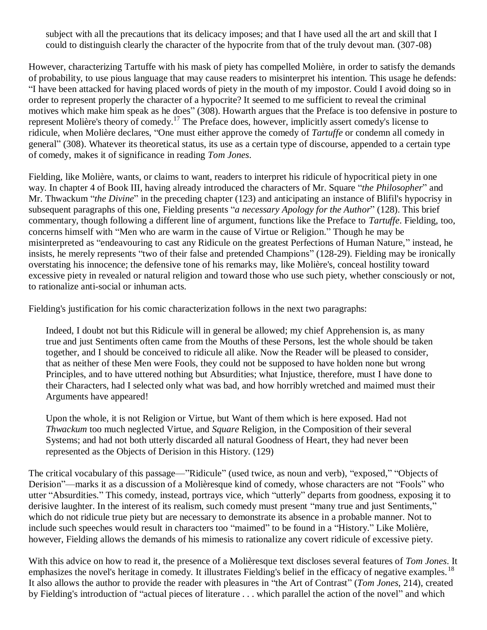subject with all the precautions that its delicacy imposes; and that I have used all the art and skill that I could to distinguish clearly the character of the hypocrite from that of the truly devout man. (307-08)

However, characterizing Tartuffe with his mask of piety has compelled Molière, in order to satisfy the demands of probability, to use pious language that may cause readers to misinterpret his intention. This usage he defends: "I have been attacked for having placed words of piety in the mouth of my impostor. Could I avoid doing so in order to represent properly the character of a hypocrite? It seemed to me sufficient to reveal the criminal motives which make him speak as he does" (308). Howarth argues that the Preface is too defensive in posture to represent Molière's theory of comedy.<sup>17</sup> The Preface does, however, implicitly assert comedy's license to ridicule, when Molière declares, "One must either approve the comedy of *Tartuffe* or condemn all comedy in general" (308). Whatever its theoretical status, its use as a certain type of discourse, appended to a certain type of comedy, makes it of significance in reading *Tom Jones*.

Fielding, like Molière, wants, or claims to want, readers to interpret his ridicule of hypocritical piety in one way. In chapter 4 of Book III, having already introduced the characters of Mr. Square "*the Philosopher*" and Mr. Thwackum "*the Divine*" in the preceding chapter (123) and anticipating an instance of Blifil's hypocrisy in subsequent paragraphs of this one, Fielding presents "*a necessary Apology for the Author*" (128). This brief commentary, though following a different line of argument, functions like the Preface to *Tartuffe*. Fielding, too, concerns himself with "Men who are warm in the cause of Virtue or Religion." Though he may be misinterpreted as "endeavouring to cast any Ridicule on the greatest Perfections of Human Nature," instead, he insists, he merely represents "two of their false and pretended Champions" (128-29). Fielding may be ironically overstating his innocence; the defensive tone of his remarks may, like Molière's, conceal hostility toward excessive piety in revealed or natural religion and toward those who use such piety, whether consciously or not, to rationalize anti-social or inhuman acts.

Fielding's justification for his comic characterization follows in the next two paragraphs:

Indeed, I doubt not but this Ridicule will in general be allowed; my chief Apprehension is, as many true and just Sentiments often came from the Mouths of these Persons, lest the whole should be taken together, and I should be conceived to ridicule all alike. Now the Reader will be pleased to consider, that as neither of these Men were Fools, they could not be supposed to have holden none but wrong Principles, and to have uttered nothing but Absurdities; what Injustice, therefore, must I have done to their Characters, had I selected only what was bad, and how horribly wretched and maimed must their Arguments have appeared!

Upon the whole, it is not Religion or Virtue, but Want of them which is here exposed. Had not *Thwackum* too much neglected Virtue, and *Square* Religion, in the Composition of their several Systems; and had not both utterly discarded all natural Goodness of Heart, they had never been represented as the Objects of Derision in this History. (129)

The critical vocabulary of this passage—"Ridicule" (used twice, as noun and verb), "exposed," "Objects of Derision"—marks it as a discussion of a Molièresque kind of comedy, whose characters are not "Fools" who utter "Absurdities." This comedy, instead, portrays vice, which "utterly" departs from goodness, exposing it to derisive laughter. In the interest of its realism, such comedy must present "many true and just Sentiments," which do not ridicule true piety but are necessary to demonstrate its absence in a probable manner. Not to include such speeches would result in characters too "maimed" to be found in a "History." Like Molière, however, Fielding allows the demands of his mimesis to rationalize any covert ridicule of excessive piety.

With this advice on how to read it, the presence of a Molièresque text discloses several features of *Tom Jones*. It emphasizes the novel's heritage in comedy. It illustrates Fielding's belief in the efficacy of negative examples.<sup>18</sup> It also allows the author to provide the reader with pleasures in "the Art of Contrast" (*Tom Jones*, 214), created by Fielding's introduction of "actual pieces of literature . . . which parallel the action of the novel" and which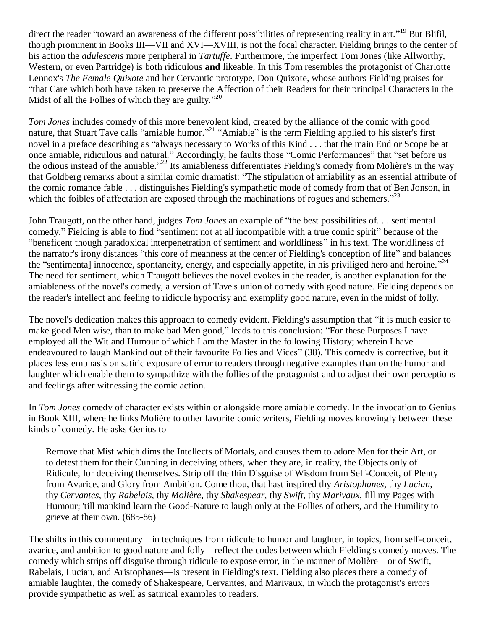direct the reader "toward an awareness of the different possibilities of representing reality in art."<sup>19</sup> But Blifil, though prominent in Books III—VII and XVI—XVIII, is not the focal character. Fielding brings to the center of his action the *adulescens* more peripheral in *Tartuffe*. Furthermore, the imperfect Tom Jones (like Allworthy, Western, or even Partridge) is both ridiculous **and** likeable. In this Tom resembles the protagonist of Charlotte Lennox's *The Female Quixote* and her Cervantic prototype, Don Quixote, whose authors Fielding praises for "that Care which both have taken to preserve the Affection of their Readers for their principal Characters in the Midst of all the Follies of which they are guilty."<sup>20</sup>

*Tom Jones* includes comedy of this more benevolent kind, created by the alliance of the comic with good nature, that Stuart Tave calls "amiable humor."<sup>21</sup> "Amiable" is the term Fielding applied to his sister's first novel in a preface describing as "always necessary to Works of this Kind . . . that the main End or Scope be at once amiable, ridiculous and natural." Accordingly, he faults those "Comic Performances" that "set before us the odious instead of the amiable."<sup>22</sup> Its amiableness differentiates Fielding's comedy from Molière's in the way that Goldberg remarks about a similar comic dramatist: "The stipulation of amiability as an essential attribute of the comic romance fable . . . distinguishes Fielding's sympathetic mode of comedy from that of Ben Jonson, in which the foibles of affectation are exposed through the machinations of rogues and schemers."<sup>23</sup>

John Traugott, on the other hand, judges *Tom Jones* an example of "the best possibilities of. . . sentimental comedy." Fielding is able to find "sentiment not at all incompatible with a true comic spirit" because of the "beneficent though paradoxical interpenetration of sentiment and worldliness" in his text. The worldliness of the narrator's irony distances "this core of meanness at the center of Fielding's conception of life" and balances the "sentimenta] innocence, spontaneity, energy, and especially appetite, in his priviliged hero and heroine."<sup>24</sup> The need for sentiment, which Traugott believes the novel evokes in the reader, is another explanation for the amiableness of the novel's comedy, a version of Tave's union of comedy with good nature. Fielding depends on the reader's intellect and feeling to ridicule hypocrisy and exemplify good nature, even in the midst of folly.

The novel's dedication makes this approach to comedy evident. Fielding's assumption that "it is much easier to make good Men wise, than to make bad Men good," leads to this conclusion: "For these Purposes I have employed all the Wit and Humour of which I am the Master in the following History; wherein I have endeavoured to laugh Mankind out of their favourite Follies and Vices" (38). This comedy is corrective, but it places less emphasis on satiric exposure of error to readers through negative examples than on the humor and laughter which enable them to sympathize with the follies of the protagonist and to adjust their own perceptions and feelings after witnessing the comic action.

In *Tom Jones* comedy of character exists within or alongside more amiable comedy. In the invocation to Genius in Book XIII, where he links Molière to other favorite comic writers, Fielding moves knowingly between these kinds of comedy. He asks Genius to

Remove that Mist which dims the Intellects of Mortals, and causes them to adore Men for their Art, or to detest them for their Cunning in deceiving others, when they are, in reality, the Objects only of Ridicule, for deceiving themselves. Strip off the thin Disguise of Wisdom from Self-Conceit, of Plenty from Avarice, and Glory from Ambition. Come thou, that hast inspired thy *Aristophanes*, thy *Lucian*, thy *Cervantes*, thy *Rabelais*, thy *Molière*, thy *Shakespear*, thy *Swift*, thy *Marivaux*, fill my Pages with Humour; 'till mankind learn the Good-Nature to laugh only at the Follies of others, and the Humility to grieve at their own. (685-86)

The shifts in this commentary—in techniques from ridicule to humor and laughter, in topics, from self-conceit, avarice, and ambition to good nature and folly—reflect the codes between which Fielding's comedy moves. The comedy which strips off disguise through ridicule to expose error, in the manner of Molière—or of Swift, Rabelais, Lucian, and Aristophanes—is present in Fielding's text. Fielding also places there a comedy of amiable laughter, the comedy of Shakespeare, Cervantes, and Marivaux, in which the protagonist's errors provide sympathetic as well as satirical examples to readers.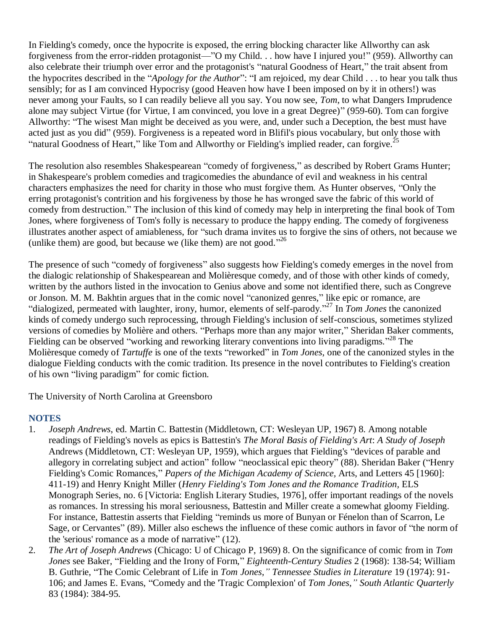In Fielding's comedy, once the hypocrite is exposed, the erring blocking character like Allworthy can ask forgiveness from the error-ridden protagonist—"O my Child. . . how have I injured you!" (959). Allworthy can also celebrate their triumph over error and the protagonist's "natural Goodness of Heart," the trait absent from the hypocrites described in the "*Apology for the Author*": "I am rejoiced, my dear Child . . . to hear you talk thus sensibly; for as I am convinced Hypocrisy (good Heaven how have I been imposed on by it in others!) was never among your Faults, so I can readily believe all you say. You now see, *Tom*, to what Dangers Imprudence alone may subject Virtue (for Virtue, I am convinced, you love in a great Degree)" (959-60). Tom can forgive Allworthy: "The wisest Man might be deceived as you were, and, under such a Deception, the best must have acted just as you did" (959). Forgiveness is a repeated word in Blifil's pious vocabulary, but only those with "natural Goodness of Heart," like Tom and Allworthy or Fielding's implied reader, can forgive.<sup>25</sup>

The resolution also resembles Shakespearean "comedy of forgiveness," as described by Robert Grams Hunter; in Shakespeare's problem comedies and tragicomedies the abundance of evil and weakness in his central characters emphasizes the need for charity in those who must forgive them. As Hunter observes, "Only the erring protagonist's contrition and his forgiveness by those he has wronged save the fabric of this world of comedy from destruction." The inclusion of this kind of comedy may help in interpreting the final book of Tom Jones, where forgiveness of Tom's folly is necessary to produce the happy ending. The comedy of forgiveness illustrates another aspect of amiableness, for "such drama invites us to forgive the sins of others, not because we (unlike them) are good, but because we (like them) are not good." $^{26}$ 

The presence of such "comedy of forgiveness" also suggests how Fielding's comedy emerges in the novel from the dialogic relationship of Shakespearean and Molièresque comedy, and of those with other kinds of comedy, written by the authors listed in the invocation to Genius above and some not identified there, such as Congreve or Jonson. M. M. Bakhtin argues that in the comic novel "canonized genres," like epic or romance, are "dialogized, permeated with laughter, irony, humor, elements of self-parody." <sup>27</sup> In *Tom Jones* the canonized kinds of comedy undergo such reprocessing, through Fielding's inclusion of self-conscious, sometimes stylized versions of comedies by Molière and others. "Perhaps more than any major writer," Sheridan Baker comments, Fielding can be observed "working and reworking literary conventions into living paradigms."<sup>28</sup> The Molièresque comedy of *Tartuffe* is one of the texts "reworked" in *Tom Jones*, one of the canonized styles in the dialogue Fielding conducts with the comic tradition. Its presence in the novel contributes to Fielding's creation of his own "living paradigm" for comic fiction.

The University of North Carolina at Greensboro

# **NOTES**

- 1. *Joseph Andrews*, ed. Martin C. Battestin (Middletown, CT: Wesleyan UP, 1967) 8. Among notable readings of Fielding's novels as epics is Battestin's *The Moral Basis of Fielding's Art*: *A Study of Joseph*  Andrews (Middletown, CT: Wesleyan UP, 1959), which argues that Fielding's "devices of parable and allegory in correlating subject and action" follow "neoclassical epic theory" (88). Sheridan Baker ("Henry Fielding's Comic Romances," *Papers of the Michigan Academy of Science,* Arts, and Letters 45 [1960]: 411-19) and Henry Knight Miller (*Henry Fielding's Tom Jones and the Romance Tradition,* ELS Monograph Series, no. 6 [Victoria: English Literary Studies, 1976], offer important readings of the novels as romances. In stressing his moral seriousness, Battestin and Miller create a somewhat gloomy Fielding. For instance, Battestin asserts that Fielding "reminds us more of Bunyan or Fénelon than of Scarron, Le Sage, or Cervantes" (89). Miller also eschews the influence of these comic authors in favor of "the norm of the 'serious' romance as a mode of narrative" (12).
- 2. *The Art of Joseph Andrews* (Chicago: U of Chicago P, 1969) 8. On the significance of comic from in *Tom Jones* see Baker, "Fielding and the Irony of Form," *Eighteenth-Century Studies* 2 (1968): 138-54; William B. Guthrie, "The Comic Celebrant of Life in *Tom Jones," Tennessee Studies in Literature* 19 (1974): 91- 106; and James E. Evans, "Comedy and the 'Tragic Complexion' of *Tom Jones," South Atlantic Quarterly* 83 (1984): 384-95.